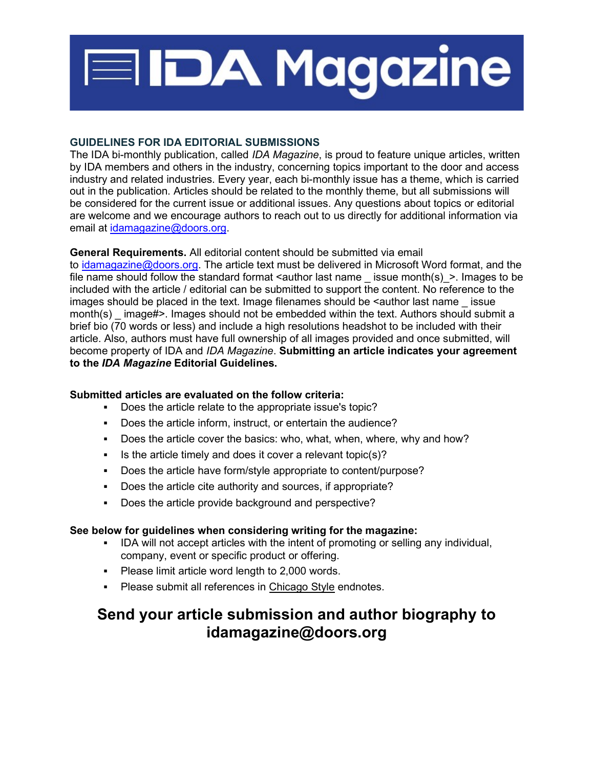

## GUIDELINES FOR IDA EDITORIAL SUBMISSIONS

The IDA bi-monthly publication, called IDA Magazine, is proud to feature unique articles, written by IDA members and others in the industry, concerning topics important to the door and access industry and related industries. Every year, each bi-monthly issue has a theme, which is carried out in the publication. Articles should be related to the monthly theme, but all submissions will be considered for the current issue or additional issues. Any questions about topics or editorial are welcome and we encourage authors to reach out to us directly for additional information via email at idamagazine@doors.org.

# General Requirements. All editorial content should be submitted via email

to idamagazine@doors.org. The article text must be delivered in Microsoft Word format, and the file name should follow the standard format  $\leq$  author last name issue month(s)  $\geq$ . Images to be included with the article / editorial can be submitted to support the content. No reference to the images should be placed in the text. Image filenames should be  $\leq$  author last name issue month(s)  $\mu$  image#>. Images should not be embedded within the text. Authors should submit a brief bio (70 words or less) and include a high resolutions headshot to be included with their article. Also, authors must have full ownership of all images provided and once submitted, will become property of IDA and IDA Magazine. Submitting an article indicates your agreement to the IDA Magazine Editorial Guidelines.

## Submitted articles are evaluated on the follow criteria:

- Does the article relate to the appropriate issue's topic?
- Does the article inform, instruct, or entertain the audience?
- Does the article cover the basics: who, what, when, where, why and how?
- Is the article timely and does it cover a relevant topic(s)?
- Does the article have form/style appropriate to content/purpose?
- Does the article cite authority and sources, if appropriate?
- Does the article provide background and perspective?

## See below for guidelines when considering writing for the magazine:

- **IDA will not accept articles with the intent of promoting or selling any individual,** company, event or specific product or offering.
- **Please limit article word length to 2,000 words.**
- Please submit all references in Chicago Style endnotes.

# Send your article submission and author biography to idamagazine@doors.org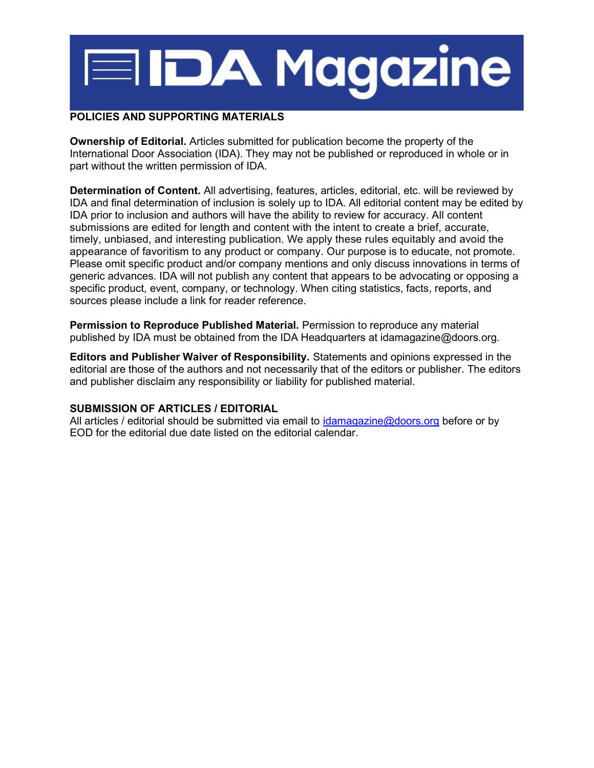# **EIDA Magazine**

## POLICIES AND SUPPORTING MATERIALS

Ownership of Editorial. Articles submitted for publication become the property of the International Door Association (IDA). They may not be published or reproduced in whole or in part without the written permission of IDA.

Determination of Content. All advertising, features, articles, editorial, etc. will be reviewed by IDA and final determination of inclusion is solely up to IDA. All editorial content may be edited by IDA prior to inclusion and authors will have the ability to review for accuracy. All content submissions are edited for length and content with the intent to create a brief, accurate, timely, unbiased, and interesting publication. We apply these rules equitably and avoid the appearance of favoritism to any product or company. Our purpose is to educate, not promote. Please omit specific product and/or company mentions and only discuss innovations in terms of generic advances. IDA will not publish any content that appears to be advocating or opposing a specific product, event, company, or technology. When citing statistics, facts, reports, and sources please include a link for reader reference.

Permission to Reproduce Published Material. Permission to reproduce any material published by IDA must be obtained from the IDA Headquarters at idamagazine@doors.org.

Editors and Publisher Waiver of Responsibility. Statements and opinions expressed in the editorial are those of the authors and not necessarily that of the editors or publisher. The editors and publisher disclaim any responsibility or liability for published material.

## SUBMISSION OF ARTICLES / EDITORIAL

All articles / editorial should be submitted via email to idamagazine@doors.org before or by EOD for the editorial due date listed on the editorial calendar.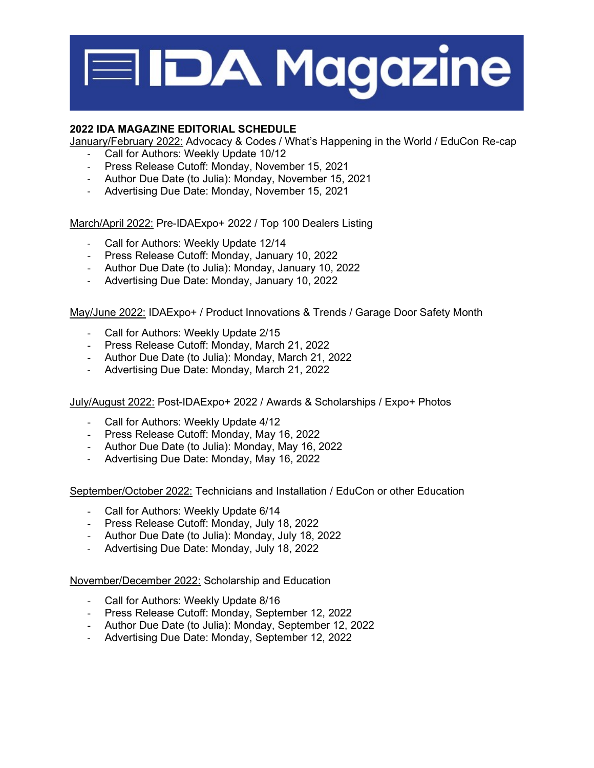

# 2022 IDA MAGAZINE EDITORIAL SCHEDULE

January/February 2022: Advocacy & Codes / What's Happening in the World / EduCon Re-cap

- Call for Authors: Weekly Update 10/12
- Press Release Cutoff: Monday, November 15, 2021
- Author Due Date (to Julia): Monday, November 15, 2021
- Advertising Due Date: Monday, November 15, 2021

March/April 2022: Pre-IDAExpo+ 2022 / Top 100 Dealers Listing

- Call for Authors: Weekly Update 12/14
- Press Release Cutoff: Monday, January 10, 2022
- Author Due Date (to Julia): Monday, January 10, 2022
- Advertising Due Date: Monday, January 10, 2022

May/June 2022: IDAExpo+ / Product Innovations & Trends / Garage Door Safety Month

- Call for Authors: Weekly Update 2/15
- Press Release Cutoff: Monday, March 21, 2022
- Author Due Date (to Julia): Monday, March 21, 2022
- Advertising Due Date: Monday, March 21, 2022

July/August 2022: Post-IDAExpo+ 2022 / Awards & Scholarships / Expo+ Photos

- Call for Authors: Weekly Update 4/12
- Press Release Cutoff: Monday, May 16, 2022
- Author Due Date (to Julia): Monday, May 16, 2022
- Advertising Due Date: Monday, May 16, 2022

September/October 2022: Technicians and Installation / EduCon or other Education

- Call for Authors: Weekly Update 6/14
- Press Release Cutoff: Monday, July 18, 2022
- Author Due Date (to Julia): Monday, July 18, 2022
- Advertising Due Date: Monday, July 18, 2022

November/December 2022: Scholarship and Education

- Call for Authors: Weekly Update 8/16
- Press Release Cutoff: Monday, September 12, 2022
- Author Due Date (to Julia): Monday, September 12, 2022
- Advertising Due Date: Monday, September 12, 2022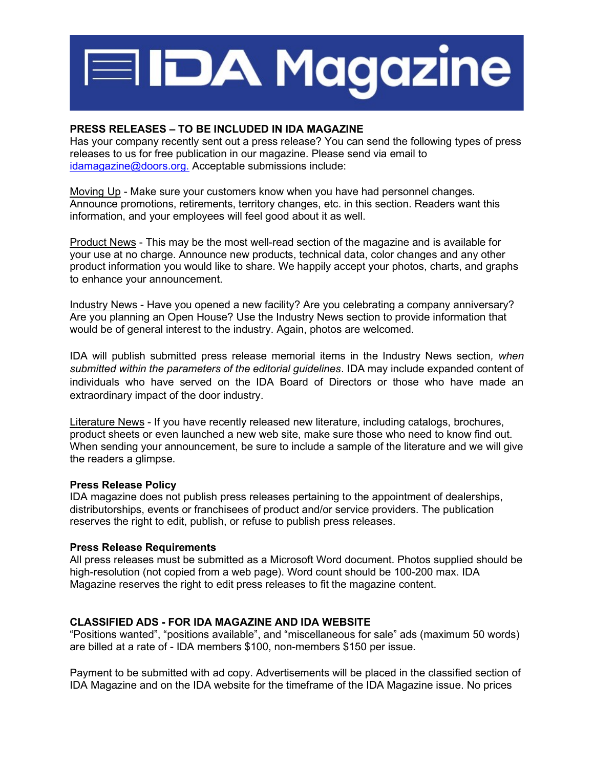

#### PRESS RELEASES – TO BE INCLUDED IN IDA MAGAZINE

Has your company recently sent out a press release? You can send the following types of press releases to us for free publication in our magazine. Please send via email to idamagazine@doors.org. Acceptable submissions include:

Moving Up - Make sure your customers know when you have had personnel changes. Announce promotions, retirements, territory changes, etc. in this section. Readers want this information, and your employees will feel good about it as well.

Product News - This may be the most well-read section of the magazine and is available for your use at no charge. Announce new products, technical data, color changes and any other product information you would like to share. We happily accept your photos, charts, and graphs to enhance your announcement.

Industry News - Have you opened a new facility? Are you celebrating a company anniversary? Are you planning an Open House? Use the Industry News section to provide information that would be of general interest to the industry. Again, photos are welcomed.

IDA will publish submitted press release memorial items in the Industry News section, when submitted within the parameters of the editorial guidelines. IDA may include expanded content of individuals who have served on the IDA Board of Directors or those who have made an extraordinary impact of the door industry.

Literature News - If you have recently released new literature, including catalogs, brochures, product sheets or even launched a new web site, make sure those who need to know find out. When sending your announcement, be sure to include a sample of the literature and we will give the readers a glimpse.

#### Press Release Policy

IDA magazine does not publish press releases pertaining to the appointment of dealerships, distributorships, events or franchisees of product and/or service providers. The publication reserves the right to edit, publish, or refuse to publish press releases.

#### Press Release Requirements

All press releases must be submitted as a Microsoft Word document. Photos supplied should be high-resolution (not copied from a web page). Word count should be 100-200 max. IDA Magazine reserves the right to edit press releases to fit the magazine content.

#### CLASSIFIED ADS - FOR IDA MAGAZINE AND IDA WEBSITE

"Positions wanted", "positions available", and "miscellaneous for sale" ads (maximum 50 words) are billed at a rate of - IDA members \$100, non-members \$150 per issue.

Payment to be submitted with ad copy. Advertisements will be placed in the classified section of IDA Magazine and on the IDA website for the timeframe of the IDA Magazine issue. No prices